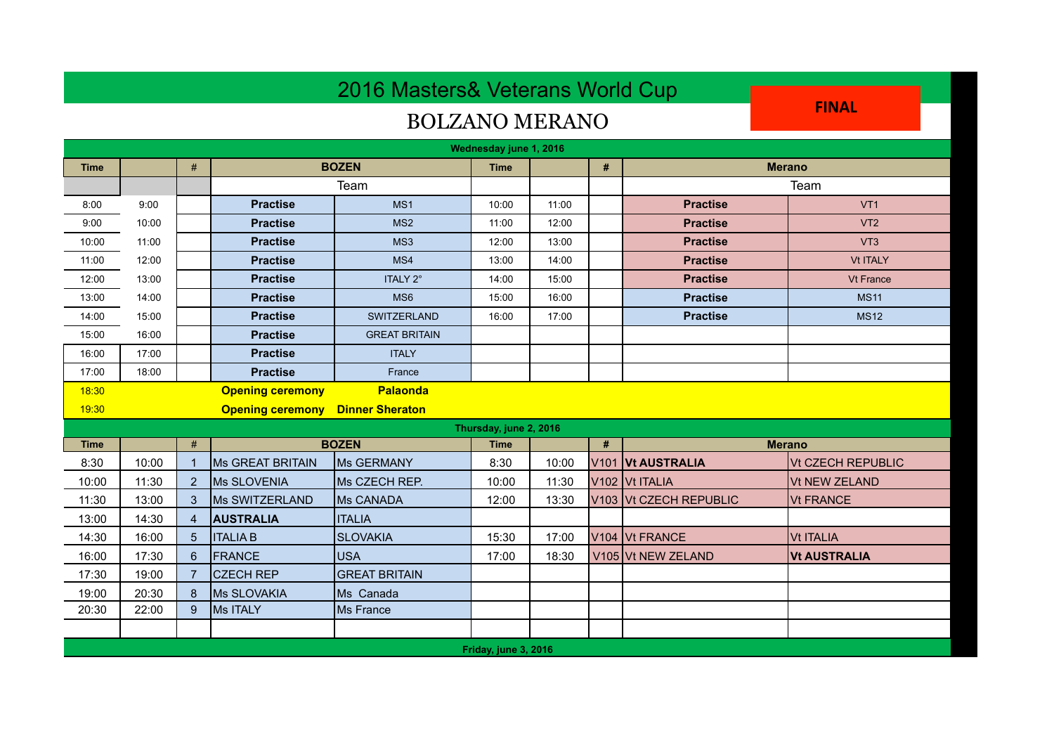## 2016 Masters& Veterans World Cup

## BOLZANO MERANO

**FINAL** 

| Wednesday june 1, 2016 |                                         |                |                         |                      |             |       |                  |                                        |                          |  |
|------------------------|-----------------------------------------|----------------|-------------------------|----------------------|-------------|-------|------------------|----------------------------------------|--------------------------|--|
| <b>Time</b>            |                                         | $\#$           | <b>BOZEN</b>            |                      | <b>Time</b> |       | $\pmb{\#}$       | <b>Merano</b>                          |                          |  |
|                        |                                         |                | Team                    |                      |             |       |                  |                                        | Team                     |  |
| 8:00                   | 9:00                                    |                | <b>Practise</b>         | MS <sub>1</sub>      | 10:00       | 11:00 |                  | <b>Practise</b>                        | VT <sub>1</sub>          |  |
| 9:00                   | 10:00                                   |                | <b>Practise</b>         | MS <sub>2</sub>      | 11:00       | 12:00 |                  | <b>Practise</b>                        | VT <sub>2</sub>          |  |
| 10:00                  | 11:00                                   |                | <b>Practise</b>         | MS3                  | 12:00       | 13:00 |                  | <b>Practise</b>                        | VT <sub>3</sub>          |  |
| 11:00                  | 12:00                                   |                | <b>Practise</b>         | MS4                  | 13:00       | 14:00 |                  | <b>Practise</b>                        | <b>Vt ITALY</b>          |  |
| 12:00                  | 13:00                                   |                | <b>Practise</b>         | ITALY 2°             | 14:00       | 15:00 |                  | <b>Practise</b>                        | <b>Vt France</b>         |  |
| 13:00                  | 14:00                                   |                | <b>Practise</b>         | MS <sub>6</sub>      | 15:00       | 16:00 |                  | <b>Practise</b>                        | <b>MS11</b>              |  |
| 14:00                  | 15:00                                   |                | <b>Practise</b>         | <b>SWITZERLAND</b>   | 16:00       | 17:00 |                  | <b>Practise</b>                        | <b>MS12</b>              |  |
| 15:00                  | 16:00                                   |                | <b>Practise</b>         | <b>GREAT BRITAIN</b> |             |       |                  |                                        |                          |  |
| 16:00                  | 17:00                                   |                | <b>Practise</b>         | <b>ITALY</b>         |             |       |                  |                                        |                          |  |
| 17:00                  | 18:00                                   |                | <b>Practise</b>         | France               |             |       |                  |                                        |                          |  |
| 18:30                  |                                         |                | <b>Opening ceremony</b> | Palaonda             |             |       |                  |                                        |                          |  |
| 19:30                  | <b>Opening ceremony Dinner Sheraton</b> |                |                         |                      |             |       |                  |                                        |                          |  |
| Thursday, june 2, 2016 |                                         |                |                         |                      |             |       |                  |                                        |                          |  |
| <b>Time</b>            |                                         | #              | <b>BOZEN</b>            |                      |             |       | #                | <b>Merano</b>                          |                          |  |
| 8:30                   | 10:00                                   |                | <b>Ms GREAT BRITAIN</b> | <b>IMs GERMANY</b>   | 8:30        | 10:00 | V <sub>101</sub> | <b>Vt AUSTRALIA</b>                    | <b>Vt CZECH REPUBLIC</b> |  |
| 10:00                  | 11:30                                   | $\overline{2}$ | Ms SLOVENIA             | Ms CZECH REP.        | 10:00       | 11:30 |                  | V <sub>102</sub> V <sub>t</sub> ITALIA | <b>Vt NEW ZELAND</b>     |  |
| 11:30                  | 13:00                                   | 3              | Ms SWITZERLAND          | Ms CANADA            | 12:00       | 13:30 |                  | V103 Vt CZECH REPUBLIC                 | <b>Vt FRANCE</b>         |  |
| 13:00                  | 14:30                                   | $\overline{4}$ | <b>AUSTRALIA</b>        | <b>ITALIA</b>        |             |       |                  |                                        |                          |  |
| 14:30                  | 16:00                                   | 5              | <b>ITALIA B</b>         | <b>SLOVAKIA</b>      | 15:30       | 17:00 |                  | V104 Vt FRANCE                         | <b>Vt ITALIA</b>         |  |
| 16:00                  | 17:30                                   | 6              | FRANCE                  | <b>USA</b>           | 17:00       | 18:30 |                  | V105 Vt NEW ZELAND                     | <b>Vt AUSTRALIA</b>      |  |
| 17:30                  | 19:00                                   |                | <b>CZECH REP</b>        | <b>GREAT BRITAIN</b> |             |       |                  |                                        |                          |  |
| 19:00                  | 20:30                                   | 8              | Ms SLOVAKIA             | Ms Canada            |             |       |                  |                                        |                          |  |
| 20:30                  | 22:00                                   | 9              | Ms ITALY                | Ms France            |             |       |                  |                                        |                          |  |
|                        |                                         |                |                         |                      |             |       |                  |                                        |                          |  |
| Friday, june 3, 2016   |                                         |                |                         |                      |             |       |                  |                                        |                          |  |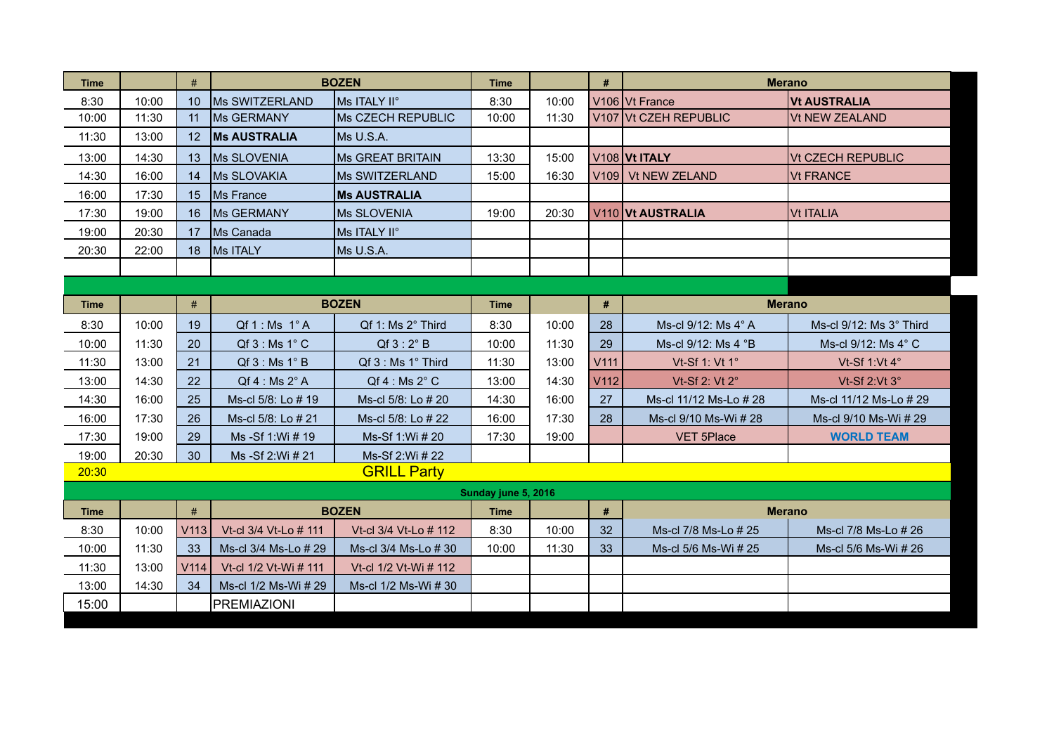| Time                        |       | #               | <b>BOZEN</b>              |                           | <b>Time</b> |       | #                | <b>Merano</b>            |                                   |  |
|-----------------------------|-------|-----------------|---------------------------|---------------------------|-------------|-------|------------------|--------------------------|-----------------------------------|--|
| 8:30                        | 10:00 | 10 <sup>1</sup> | lMs SWITZERLAND           | <b>Ms ITALY II°</b>       | 8:30        | 10:00 |                  | V106 Vt France           | <b>Vt AUSTRALIA</b>               |  |
| 10:00                       | 11:30 | 11              | Ms GERMANY                | Ms CZECH REPUBLIC         | 10:00       | 11:30 |                  | V107 Vt CZEH REPUBLIC    | Vt NEW ZEALAND                    |  |
| 11:30                       | 13:00 | 12              | <b>IMs AUSTRALIA</b>      | Ms U.S.A.                 |             |       |                  |                          |                                   |  |
| 13:00                       | 14:30 | 13              | Ms SLOVENIA               | <b>Ms GREAT BRITAIN</b>   | 13:30       | 15:00 |                  | <b>V108 Vt ITALY</b>     | <b>Vt CZECH REPUBLIC</b>          |  |
| 14:30                       | 16:00 | 14              | <b>Ms SLOVAKIA</b>        | <b>Ms SWITZERLAND</b>     | 15:00       | 16:30 | V109             | <b>Vt NEW ZELAND</b>     | <b>Vt FRANCE</b>                  |  |
| 16:00                       | 17:30 | 15              | Ms France                 | <b>Ms AUSTRALIA</b>       |             |       |                  |                          |                                   |  |
| 17:30                       | 19:00 | 16              | Ms GERMANY                | Ms SLOVENIA               | 19:00       | 20:30 |                  | <b>V110 Vt AUSTRALIA</b> | <b>Vt ITALIA</b>                  |  |
| 19:00                       | 20:30 | 17              | Ms Canada                 | Ms ITALY II°              |             |       |                  |                          |                                   |  |
| 20:30                       | 22:00 | 18              | Ms ITALY                  | Ms U.S.A.                 |             |       |                  |                          |                                   |  |
|                             |       |                 |                           |                           |             |       |                  |                          |                                   |  |
|                             |       |                 |                           |                           |             |       |                  |                          |                                   |  |
| <b>Time</b>                 |       | #               |                           | <b>BOZEN</b>              | <b>Time</b> |       | #                |                          | <b>Merano</b>                     |  |
| 8:30                        | 10:00 | 19              | $Qf1$ : Ms $1^\circ A$    | Qf 1: Ms 2° Third         | 8:30        | 10:00 | 28               | Ms-cl 9/12: Ms 4° A      | Ms-cl $9/12$ : Ms $3^\circ$ Third |  |
| 10:00                       | 11:30 | 20              | Qf3: Ms1°C                | $Qf3:2^{\circ}B$          | 10:00       | 11:30 | 29               | Ms-cl 9/12: Ms 4 °B      | Ms-cl 9/12: Ms 4° C               |  |
| 11:30                       | 13:00 | 21              | $Qf3$ : Ms 1 $^{\circ}$ B | Qf 3 : Ms 1° Third        | 11:30       | 13:00 | V <sub>111</sub> | Vt-Sf 1: Vt 1°           | Vt-Sf 1: Vt $4^\circ$             |  |
| 13:00                       | 14:30 | 22              | $Qf 4$ : Ms $2^\circ A$   | $Qf 4$ : Ms $2^{\circ}$ C | 13:00       | 14:30 | V <sub>112</sub> | Vt-Sf 2: Vt 2°           | Vt-Sf 2:Vt $3^\circ$              |  |
| 14:30                       | 16:00 | 25              | Ms-cl 5/8: Lo # 19        | Ms-cl 5/8: Lo # 20        | 14:30       | 16:00 | 27               | Ms-cl 11/12 Ms-Lo # 28   | Ms-cl 11/12 Ms-Lo # 29            |  |
| 16:00                       | 17:30 | 26              | Ms-cl 5/8: Lo # 21        | Ms-cl 5/8: Lo # 22        | 16:00       | 17:30 | 28               | Ms-cl 9/10 Ms-Wi # 28    | Ms-cl 9/10 Ms-Wi # 29             |  |
| 17:30                       | 19:00 | 29              | Ms -Sf 1:Wi # 19          | Ms-Sf 1:Wi # 20           | 17:30       | 19:00 |                  | <b>VET 5Place</b>        | <b>WORLD TEAM</b>                 |  |
| 19:00                       | 20:30 | 30              | Ms -Sf 2:Wi # 21          | Ms-Sf 2:Wi # 22           |             |       |                  |                          |                                   |  |
| 20:30<br><b>GRILL Party</b> |       |                 |                           |                           |             |       |                  |                          |                                   |  |
| Sunday june 5, 2016         |       |                 |                           |                           |             |       |                  |                          |                                   |  |
| <b>Time</b>                 |       | #               | <b>BOZEN</b>              |                           | <b>Time</b> |       | #                | <b>Merano</b>            |                                   |  |
| 8:30                        | 10:00 | V113            | Vt-cl 3/4 Vt-Lo # 111     | Vt-cl 3/4 Vt-Lo # 112     | 8:30        | 10:00 | 32               | Ms-cl 7/8 Ms-Lo # 25     | Ms-cl 7/8 Ms-Lo # 26              |  |
| 10:00                       | 11:30 | 33              | Ms-cl 3/4 Ms-Lo # 29      | Ms-cl 3/4 Ms-Lo # 30      | 10:00       | 11:30 | 33               | Ms-cl 5/6 Ms-Wi # 25     | Ms-cl 5/6 Ms-Wi # 26              |  |
| 11:30                       | 13:00 | V114            | Vt-cl 1/2 Vt-Wi # 111     | Vt-cl 1/2 Vt-Wi # 112     |             |       |                  |                          |                                   |  |
| 13:00                       | 14:30 | 34              | Ms-cl 1/2 Ms-Wi # 29      | Ms-cl 1/2 Ms-Wi # 30      |             |       |                  |                          |                                   |  |
| 15:00                       |       |                 | <b>PREMIAZIONI</b>        |                           |             |       |                  |                          |                                   |  |